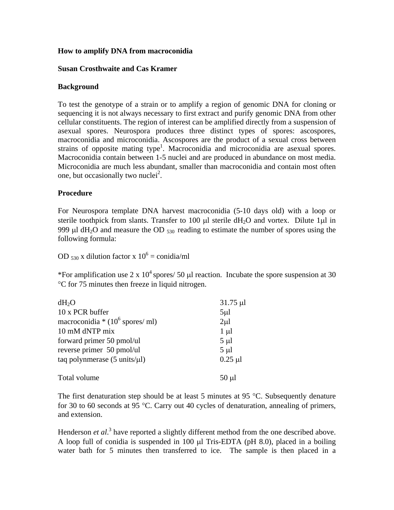# **How to amplify DNA from macroconidia**

## **Susan Crosthwaite and Cas Kramer**

## **Background**

To test the genotype of a strain or to amplify a region of genomic DNA for cloning or sequencing it is not always necessary to first extract and purify genomic DNA from other cellular constituents. The region of interest can be amplified directly from a suspension of asexual spores. Neurospora produces three distinct types of spores: ascospores, macroconidia and microconidia. Ascospores are the product of a sexual cross between strains of opposite mating type<sup>1</sup>. Macroconidia and microconidia are asexual spores. Macroconidia contain between 1-5 nuclei and are produced in abundance on most media. Microconidia are much less abundant, smaller than macroconidia and contain most often one, but occasionally two nuclei<sup>2</sup>.

# **Procedure**

For Neurospora template DNA harvest macroconidia (5-10 days old) with a loop or sterile toothpick from slants. Transfer to 100  $\mu$ l sterile dH<sub>2</sub>O and vortex. Dilute 1 $\mu$ l in 999  $\mu$ l dH<sub>2</sub>O and measure the OD  $_{530}$  reading to estimate the number of spores using the following formula:

OD  $_{530}$  x dilution factor x  $10^6$  = conidia/ml

\*For amplification use 2 x  $10^4$  spores/ 50 µl reaction. Incubate the spore suspension at 30 °C for 75 minutes then freeze in liquid nitrogen.

| $dH_2O$                                         | $31.75 \mu$ l  |
|-------------------------------------------------|----------------|
| 10 x PCR buffer                                 | $5\mu$         |
| macroconidia * $(10^6$ spores/ ml)              | $2\mu$ l       |
| 10 mM dNTP mix                                  | $1 \mu l$      |
| forward primer 50 pmol/ul                       | $5 \mu l$      |
| reverse primer 50 pmol/ul                       | $5 \mu l$      |
| taq polynmerase $(5 \text{ units/}\mu\text{l})$ | $0.25$ $\mu$ l |
| Total volume                                    | $50 \mu$ l     |

The first denaturation step should be at least 5 minutes at 95  $^{\circ}$ C. Subsequently denature for 30 to 60 seconds at 95 °C. Carry out 40 cycles of denaturation, annealing of primers, and extension.

Henderson *et al.*<sup>3</sup> have reported a slightly different method from the one described above. A loop full of conidia is suspended in 100 µl Tris-EDTA (pH 8.0), placed in a boiling water bath for 5 minutes then transferred to ice. The sample is then placed in a